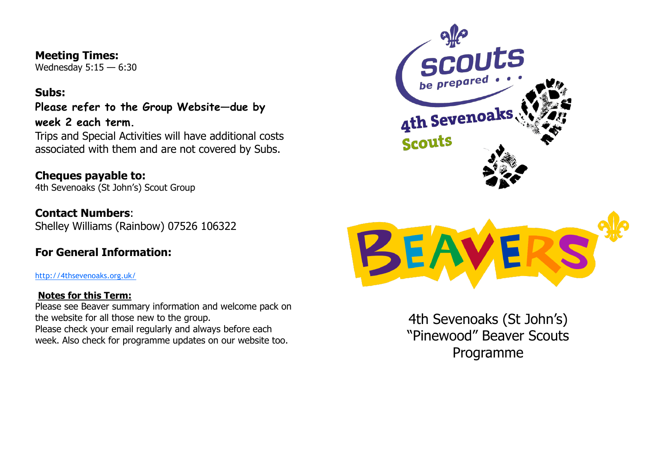#### **Meeting Times:**

Wednesday 5:15 — 6:30

### **Subs:**

**Please refer to the Group Website—due by week 2 each term.**

Trips and Special Activities will have additional costs associated with them and are not covered by Subs.

**Cheques payable to:** 4th Sevenoaks (St John's) Scout Group

**Contact Numbers**: Shelley Williams (Rainbow) 07526 106322

## **For General Information:**

<http://4thsevenoaks.org.uk/>

### **Notes for this Term:**

Please see Beaver summary information and welcome pack on the website for all those new to the group. Please check your email regularly and always before each week. Also check for programme updates on our website too.





4th Sevenoaks (St John's) "Pinewood" Beaver Scouts Programme